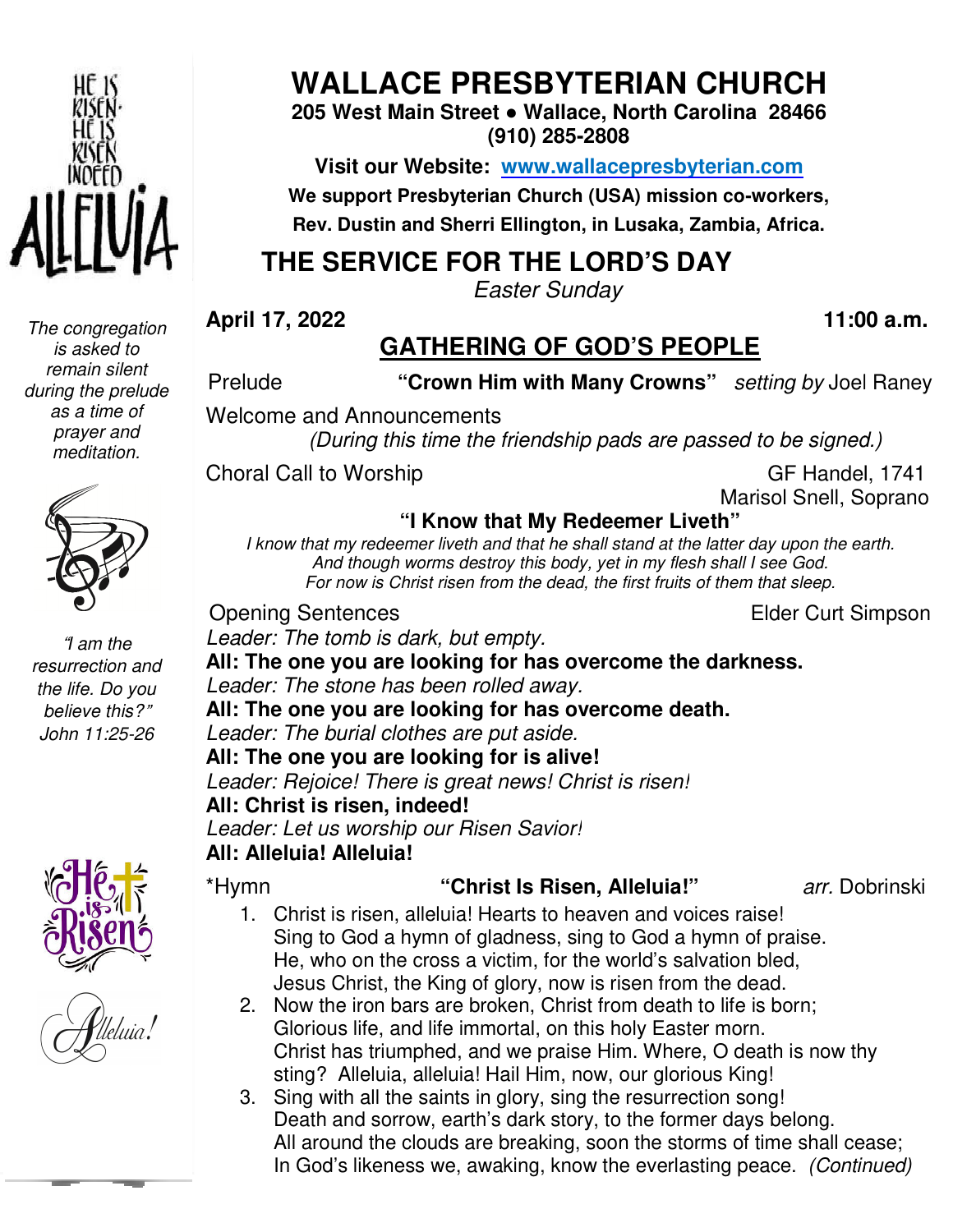

*The congregation is asked to remain silent during the prelude as a time of prayer and meditation.* 



"*I am the resurrection and the life. Do you believe this?*" *John 11:25-26* 



**WALLACE PRESBYTERIAN CHURCH**

**205 West Main Street ● Wallace, North Carolina 28466 (910) 285-2808** 

**Visit our Website: www.wallacepresbyterian.com** We support Presbyterian Church (USA) mission co-workers, **Rev. Dustin and Sherri Ellington, in Lusaka, Zambia, Africa. Sherri Ellington,** 

# **THE SERVICE FOR THE LORD'S DAY**

 *Easter Sunday* 

**April 17, 2022** 

#### **GATHERING OF GOD'S PEOPLE 11:00 a.m. a.m.**

Prelude **The "Crown Him with Many Crowns**" setting by Joel Raney

Welcome and Announcements and Announcements*(During this time the friendship pads are passed to be signed.) friendship the* 

Choral Call to Worship

 GF Handel, 1741 Marisol Snell, Soprano Snell,

Elder Curt Simpson

# **"I K Know that My Redeemer Liveth"**

I know that my redeemer liveth and that he shall stand at the latter day upon the earth. And though worms destroy this body, yet in my flesh shall I see God. For now is Christ risen from the dead, the first fruits of them that sleep.

Opening Sentences

Leader: The tomb is dark, but empty.

All: The one you are looking for has overcome the darkness. Leader: The stone has been rolled away.

All: The one you are looking for has overcome death.

*Leader: The burial clothes are put aside. burial are put aside.*

**All: The one you are looking for is alive! you** Leader: Rejoice! There is great news! Christ is risen! **All: Christ is risen, indeed! indeed! Leader: Let us worship our Risen Savior! All: Alleluia! Alleluia!**

\*Hymn

### **"Christ Is Risen, Alleluia!"** *arr.* Dobrinski

- 1. Christ is risen, alleluia! Hearts to heaven and voices raise! Sing to God a hymn of gladness, sing to God a hymn of praise. He, who on the cross a victim, for the world's salvation bled, Jesus Christ, the King of glory, now is risen from the dead. Sing to God a hymn of gladness, sing to God a hymn of praise<br>He, who on the cross a victim, for the world's salvation bled,<br>Jesus Christ, the King of glory, now is risen from the dead.<br>2. Now the iron bars are broken, Chri
- Glorious life, and life immortal, on this holy Easter morn. Christ has triumphed, and we praise Him. Where, O death is now thy sting? Alleluia, alleluia! Hail Him, now, our glorious King! life, and life immortal, on this holy Easter morn.<br>s triumphed, and we praise Him. Where, O death<br>lleluia, alleluia! Hail Him, now, our glorious King!<br>all the saints in glory, sing the resurrection song!
- 3. Sing with all the saints in Death and sorrow, earth's dark story, to the former days belong. All around the clouds are breaking, soon the storms of time shall cease; In God's likeness we, awaking, know the everlasting peace. (Continued) Death and sorrow, earth's dark story, to the former days belong.<br>All around the clouds are breaking, soon the storms of time shall cease;<br>In God's likeness we, awaking, know the everlasting peace. *(Continued)* and we praise Him.<br>a! Hail Him, now, our<br>i in glory, sing the re<br>th's dark story, to th<br>are breaking, soon tl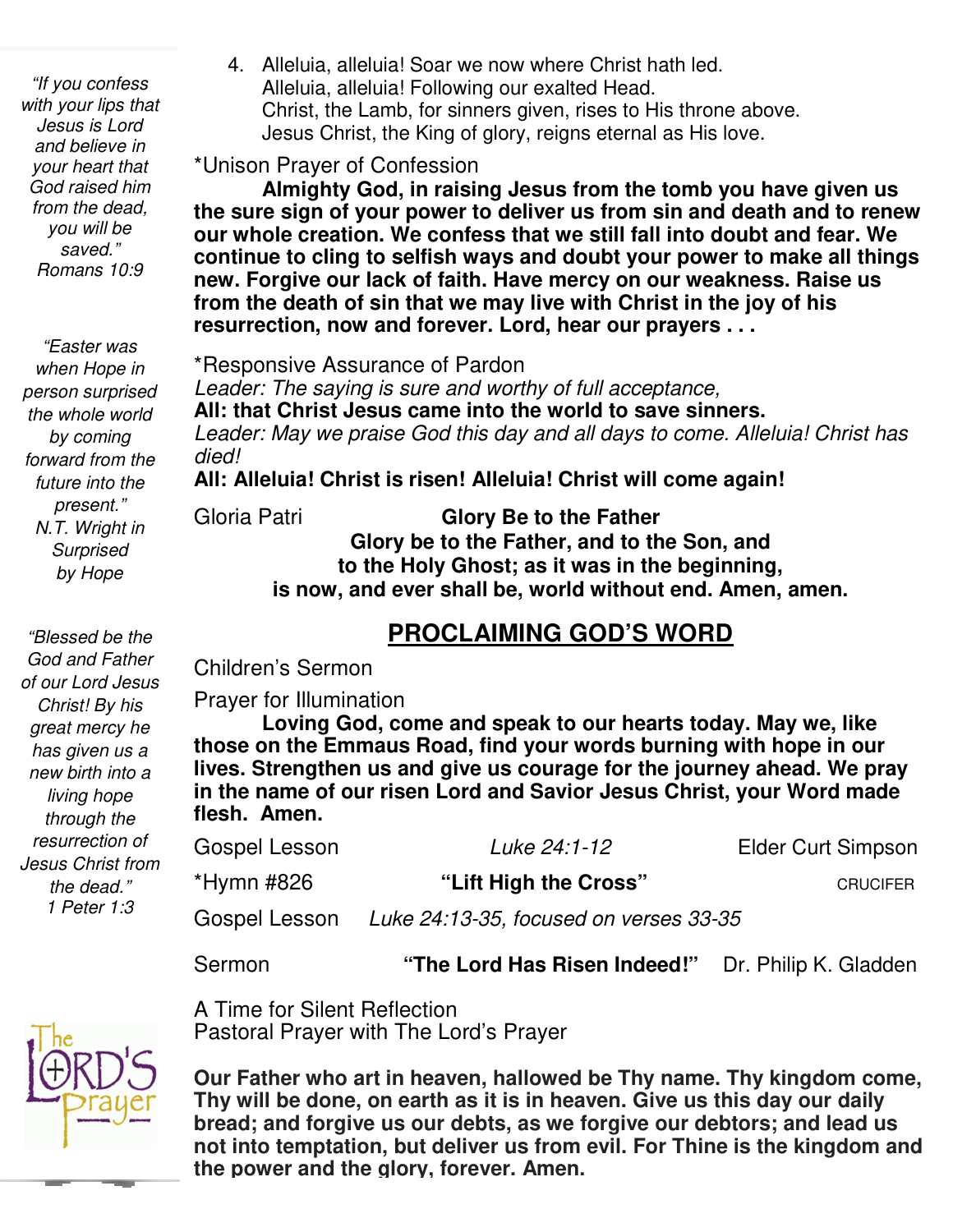*you will be "If you confess with your lips that Jesus is Lord and believe in your heart that God raised him from the dead, saved." Romans 10:9* 

 $\ddot{ }$ *"Easter was when Hope in person surprised the whole world by coming forward from the future into the present." N.T. Wright in Surprised by Hope* 

*"Blessed be the God and Father of our Lord Jesus Christ! By his great mercy he has given us a new birth into a living hope through the resurrection of Jesus Christ from the dead." 1 Peter 1:3* 

4. Alleluia, alleluia! Soar we now where Christ hath led. Alleluia, alleluia! Following our exalted Head. Christ, the Lamb, for sinners given, rises to His throne above. Jesus Christ, the King of glory, reigns eternal as His love.

#### \*Unison Prayer of Confession

Ī  **Almighty God, in raising Jesus from the tomb you have given us the sure sign of your power to deliver us from sin and death and to renew our whole creation. We confess that we still fall into doubt and fear. We continue to cling to selfish ways and doubt your power to make all things new. Forgive our lack of faith. Have mercy on our weakness. Raise us from the death of sin that we may live with Christ in the joy of his resurrection, now and forever. Lord, hear our prayers . . .** 

 **All: that Christ Jesus came into the world to save sinners.**  *Leader: May we praise God this day and all days to come. Alleluia! Christ has*   \*Responsive Assurance of Pardon  *Leader: The saying is sure and worthy of full acceptance, died!* **All: Alleluia! Christ is risen! Alleluia! Christ will come again!**

Gloria Patri

#### **Glory Be to the Father Glory be to the Father, and to the Son, and to the Holy Ghost; as it was in the beginning, is now, and ever shall be, world without end. Amen, amen.**

### **PROCLAIMING GOD'S WORD**

Children's Sermon

Prayer for Illumination

**Loving God, come and speak to our hearts today. May we, like those on the Emmaus Road, find your words burning with hope in our lives. Strengthen us and give us courage for the journey ahead. We pray in the name of our risen Lord and Savior Jesus Christ, your Word made flesh. Amen.** 

| Gospel Lesson | Luke 24:1-12                           | <b>Elder Curt Simpson</b> |
|---------------|----------------------------------------|---------------------------|
| *Hymn #826    | "Lift High the Cross"                  | <b>CRUCIFER</b>           |
| Gospel Lesson | Luke 24:13-35, focused on verses 33-35 |                           |

Sermon **"The Lord Has Risen Indeed!"** Dr. Philip K. Gladden

A Time for Silent Reflection Pastoral Prayer with The Lord's Prayer

**Our Father who art in heaven, hallowed be Thy name. Thy kingdom come, Thy will be done, on earth as it is in heaven. Give us this day our daily bread; and forgive us our debts, as we forgive our debtors; and lead us not into temptation, but deliver us from evil. For Thine is the kingdom and the power and the glory, forever. Amen.**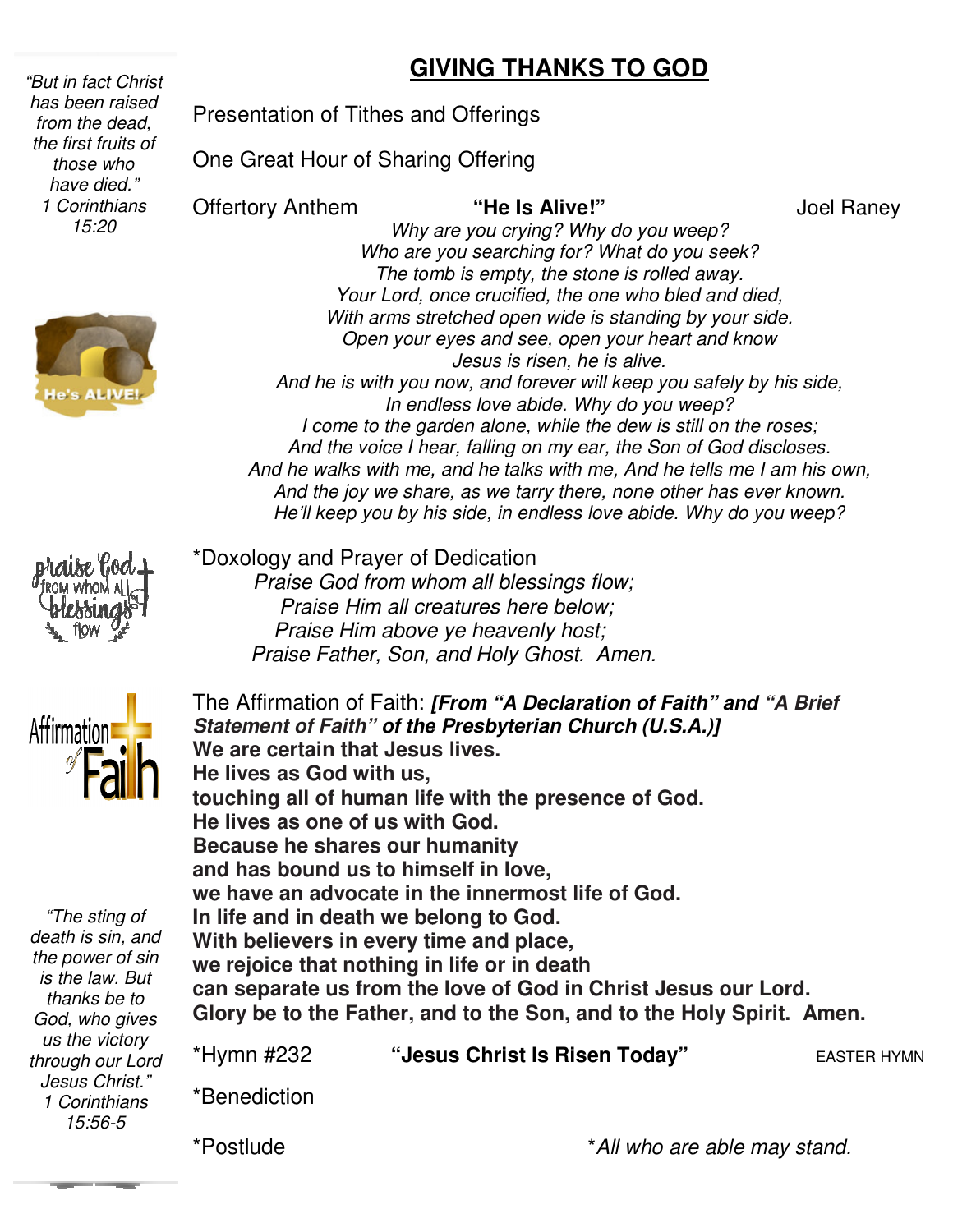## **GIVING THANKS TO GOD**

Presentation of Tithes and Offerings

One Great Hour of Sharing Offering

Offertory Anthem

**"He Is Alive!"** Joel Raney

*Why are you crying? Why do you*<br>*Who are you searching for? What do*<br>*The tomb is empty, the stone is rollyour Lord, once crucified, the one who b*<br>*h arms stretched open wide is standin*<br>*ppen your eyes and see, open you* 

*Why are you crying? Why do you weep? Who are you searching for? What do you seek? The tomb is empty, the stone is rolled away. Your Lord, once crucified, the one who bled and died, With arms stretched open wide is standing by your side. Open your eyes and see, open your heart and know*

*And he is with you now, and forever will keep you safely by his side, In endless love abide. Why do you weep? I come to the garden alone, while the dew is still on the roses; And the voice I hearden alone, while the dew is still on the roses;*<br>And the voice I hear, falling on my ear, the Son of God discloses.

*And he walks with me, and he talks with me, And he tells me I am his own, own,* And the joy we share, as we tarry there, none other has ever known.



 *have died."* 

*1 Corinthians 15:20* 

*"But in fact Christ has been raised from the dead, the first fruits of those who* 



*"The sting of death is sin, and the power of sin is the law. But thanks be to God, who gives us the victory through our Lord Jesus Christ." 1 Corinthians 15:56-5* 

*He'll keep you by his side, in endless love abide. Why do you weep? abide.* \*Doxology and Prayer of Dedication *Praise God from whom all blessings flow; Praise Him all creatures here below; Praise Him above ye heavenly host; Praise God from whom all blessings flow;<br>Praise Him all creatures here below;<br>Praise Him above ye heavenly host;<br>Praise Father, Son, and Holy Ghost. Amen.* 

The Affirmation of Faith: **[ [From "A Declaration of Faith" and "A Brief**  Statement of Faith" of the Presbyterian Church (U.S.A.)] **We are certain that Jesus lives. He lives as God with us, touching all of human life with the presence of God. He lives as one of us with God. Because he shares our humanity and has bound us to himself in love, we have an advocate in the innermost life of God. In life and in death we belong to God. With believers in every time and place, we rejoice that nothing in life or in death can separate us from the love of God in Christ Jesus our Lord.** Glory be to the Father, and to the Son, and to the Holy Spirit. Amen. \*Hymn #232 **Williams Christ Is Risen Today" Deash EASTER HYMN** \*Benediction We are certain that Jesus lives.<br>He lives as God with us,<br>touching all of human life with the<br>He lives as one of us with God.<br>Because he shares our humanity<br>and has bound us to himself in lov<br>we have an advocate in the inn

\*Postlude

\**All who are able may stand.*